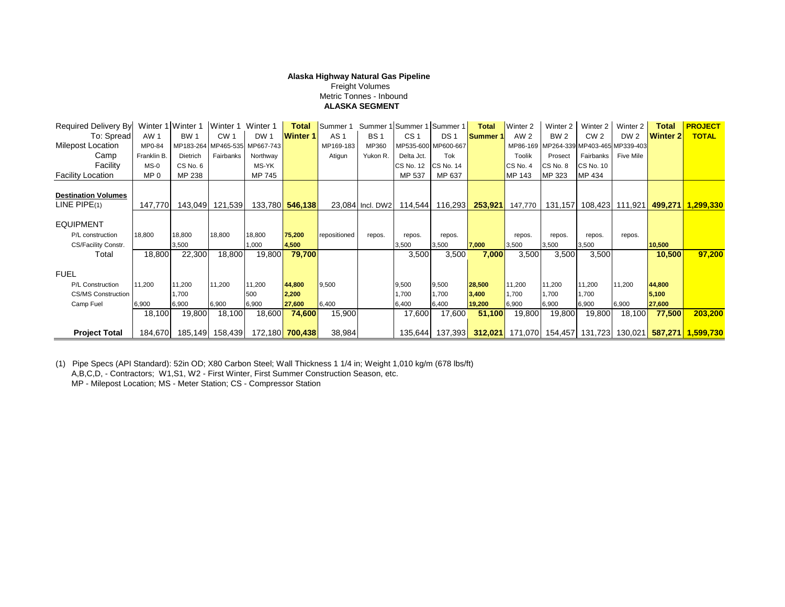## **Alaska Highway Natural Gas Pipeline**

 Freight Volumes Metric Tonnes - Inbound  **ALASKA SEGMENT**

| <b>Required Delivery By:</b> |             | Winter 1 Winter 1 | Winter 1 Winter 1 |                               | <b>Total</b>           | Summer 1        |                  | Summer 1 Summer 1 Summer 1 |                                  | <b>Total</b>  | Winter 2        | Winter 2                               | Winter 2         | Winter 2        | <b>Total</b>    | <b>PROJECT</b>                                                    |
|------------------------------|-------------|-------------------|-------------------|-------------------------------|------------------------|-----------------|------------------|----------------------------|----------------------------------|---------------|-----------------|----------------------------------------|------------------|-----------------|-----------------|-------------------------------------------------------------------|
| To: Spread                   | <b>AW1</b>  | <b>BW 1</b>       | CW <sub>1</sub>   | DW <sub>1</sub>               | <b>Winter 1</b>        | AS <sub>1</sub> | <b>BS1</b>       | CS <sub>1</sub>            | DS <sub>1</sub>                  | <b>Summer</b> | AW <sub>2</sub> | BW <sub>2</sub>                        | CW <sub>2</sub>  | DW <sub>2</sub> | <b>Winter 2</b> | <b>TOTAL</b>                                                      |
| Milepost Location            | MP0-84      |                   |                   | MP183-264 MP465-535 MP667-743 |                        | MP169-183       | MP360            |                            | MP535-600 MP600-667              |               |                 | MP86-169 MP264-339 MP403-465 MP339-403 |                  |                 |                 |                                                                   |
| Camp                         | Franklin B. | Dietrich          | Fairbanks         | Northway                      |                        | Atigun          | Yukon R.         | Delta Jct.                 | <b>Tok</b>                       |               | <b>Toolik</b>   | Prosect                                | Fairbanks        | Five Mile       |                 |                                                                   |
| Facility                     | $MS-0$      | CS No. 6          |                   | MS-YK                         |                        |                 |                  | CS No. 12                  | <b>CS No. 14</b>                 |               | CS No. 4        | CS No. 8                               | <b>CS No. 10</b> |                 |                 |                                                                   |
| <b>Facility Location</b>     | MP 0        | MP 238            |                   | MP 745                        |                        |                 |                  | MP 537                     | MP 637                           |               | MP 143          | MP 323                                 | MP 434           |                 |                 |                                                                   |
|                              |             |                   |                   |                               |                        |                 |                  |                            |                                  |               |                 |                                        |                  |                 |                 |                                                                   |
| <b>Destination Volumes</b>   |             |                   |                   |                               |                        |                 |                  |                            |                                  |               |                 |                                        |                  |                 |                 |                                                                   |
| $LINE$ PIPE $(1)$            | 147,770     |                   | 143,049 121,539   |                               | 133,780 <b>546,138</b> |                 | 23,084 Incl. DW2 |                            | 114,544   116,293 <mark> </mark> | 253,921       | 147,770         |                                        |                  |                 |                 | 131,157   108,423   111,921   499,271   1,299,330                 |
| <b>EQUIPMENT</b>             |             |                   |                   |                               |                        |                 |                  |                            |                                  |               |                 |                                        |                  |                 |                 |                                                                   |
| P/L construction             | 18,800      | 18,800            | 18,800            | 18,800                        | 75,200                 | repositioned    | repos.           | repos.                     | repos.                           |               | repos.          | repos.                                 | repos.           | repos.          |                 |                                                                   |
| CS/Facility Constr.          |             | 3,500             |                   | 1,000                         | 4,500                  |                 |                  | 3,500                      | 3,500                            | 7,000         | 3,500           | 3,500                                  | 3,500            |                 | 10,500          |                                                                   |
| Total                        | 18,800      | 22,300            | 18,800            | 19,800                        | 79,700                 |                 |                  | 3,500                      | 3,500                            | 7,000         | 3,500           | 3,500                                  | 3,500            |                 | 10,500          | 97,200                                                            |
| <b>FUEL</b>                  |             |                   |                   |                               |                        |                 |                  |                            |                                  |               |                 |                                        |                  |                 |                 |                                                                   |
| P/L Construction             | 11,200      | 11,200            | 11,200            | 11,200                        | 44,800                 | 9,500           |                  | 9,500                      | 9,500                            | 28,500        | 11,200          | 11,200                                 | 11,200           | 11,200          | 44,800          |                                                                   |
| <b>CS/MS Construction</b>    |             | 1.700             |                   | 500                           | 2,200                  |                 |                  | 1,700                      | 1.700                            | 3,400         | 1,700           | 1,700                                  | 1,700            |                 | 5,100           |                                                                   |
| Camp Fuel                    | 6,900       | 6,900             | 6,900             | 6,900                         | 27,600                 | 6,400           |                  | 6,400                      | 6,400                            | 19,200        | 6,900           | 6,900                                  | 6,900            | 6,900           | 27,600          |                                                                   |
|                              | 18,100      | 19,800            | 18,100            | 18,600                        | 74,600                 | 15,900          |                  | 17,600                     | 17,600                           | 51,100        | 19,800          | 19,800                                 | 19,800           | 18,100          | 77,500          | 203.200                                                           |
| <b>Project Total</b>         | 184,670     |                   | 185,149 158,439   |                               | 172,180 <b>700,438</b> | 38,984          |                  | 135,644                    |                                  |               |                 |                                        |                  |                 |                 | 137,393 312,021 171,070 154,457 131,723 130,021 587,271 1,599,730 |

(1) Pipe Specs (API Standard): 52in OD; X80 Carbon Steel; Wall Thickness 1 1/4 in; Weight 1,010 kg/m (678 lbs/ft)

A,B,C,D, - Contractors; W1,S1, W2 - First Winter, First Summer Construction Season, etc.

MP - Milepost Location; MS - Meter Station; CS - Compressor Station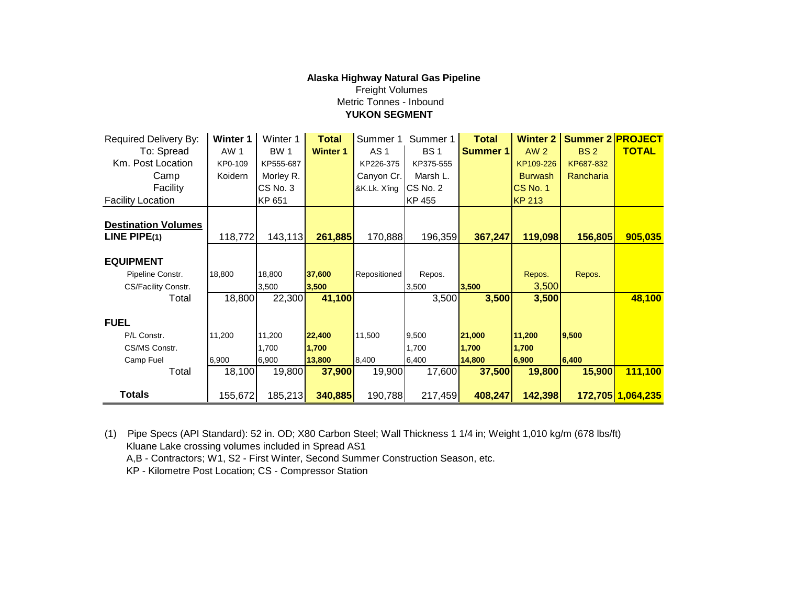## **Alaska Highway Natural Gas Pipeline** Freight Volumes Metric Tonnes - Inbound  **YUKON SEGMENT**

| Required Delivery By:      | Winter 1 | Winter 1   | <b>Total</b>    | Summer 1        | Summer 1   | <b>Total</b> | <b>Winter 2</b> | <b>Summer 2 PROJECT</b> |                   |
|----------------------------|----------|------------|-----------------|-----------------|------------|--------------|-----------------|-------------------------|-------------------|
| To: Spread                 | AW 1     | <b>BW1</b> | <b>Winter 1</b> | AS <sub>1</sub> | <b>BS1</b> | Summer 1     | <b>AW 2</b>     | <b>BS2</b>              | <b>TOTAL</b>      |
| Km. Post Location          | KP0-109  | KP555-687  |                 | KP226-375       | KP375-555  |              | KP109-226       | KP687-832               |                   |
| Camp                       | Koidern  | Morley R.  |                 | Canyon Cr.      | Marsh L.   |              | <b>Burwash</b>  | Rancharia               |                   |
| Facility                   |          | CS No. 3   |                 | &K.Lk. X'ing    | CS No. 2   |              | <b>CS No. 1</b> |                         |                   |
| <b>Facility Location</b>   |          | KP 651     |                 |                 | KP 455     |              | <b>KP 213</b>   |                         |                   |
|                            |          |            |                 |                 |            |              |                 |                         |                   |
| <b>Destination Volumes</b> |          |            |                 |                 |            |              |                 |                         |                   |
| LINE PIPE $(1)$            | 118,772  | 143,113    | 261,885         | 170,888         | 196,359    | 367,247      | 119,098         | 156,805                 | 905,035           |
|                            |          |            |                 |                 |            |              |                 |                         |                   |
| <b>EQUIPMENT</b>           |          |            |                 |                 |            |              |                 |                         |                   |
| Pipeline Constr.           | 18,800   | 18,800     | 37,600          | Repositioned    | Repos.     |              | Repos.          | Repos.                  |                   |
| CS/Facility Constr.        |          | 3,500      | 3,500           |                 | 3,500      | 3,500        | 3,500           |                         |                   |
| Total                      | 18,800   | 22,300     | 41,100          |                 | 3,500      | 3,500        | 3,500           |                         | 48,100            |
|                            |          |            |                 |                 |            |              |                 |                         |                   |
| <b>FUEL</b>                |          |            |                 |                 |            |              |                 |                         |                   |
| P/L Constr.                | 11,200   | 11,200     | 22,400          | 11,500          | 9,500      | 21,000       | 11,200          | 9,500                   |                   |
| CS/MS Constr.              |          | 1,700      | 1,700           |                 | 1,700      | 1,700        | 1,700           |                         |                   |
| Camp Fuel                  | 6,900    | 6,900      | 13,800          | 8,400           | 6,400      | 14,800       | 6,900           | 6,400                   |                   |
| Total                      | 18,100   | 19,800     | 37,900          | 19,900          | 17,600     | 37,500       | 19,800          | 15,900                  | 111,100           |
|                            |          |            |                 |                 |            |              |                 |                         |                   |
| <b>Totals</b>              | 155,672  | 185,213    | 340,885         | 190,788         | 217,459    | 408,247      | 142,398         |                         | 172,705 1,064,235 |

(1) Pipe Specs (API Standard): 52 in. OD; X80 Carbon Steel; Wall Thickness 1 1/4 in; Weight 1,010 kg/m (678 lbs/ft) Kluane Lake crossing volumes included in Spread AS1 A,B - Contractors; W1, S2 - First Winter, Second Summer Construction Season, etc. KP - Kilometre Post Location; CS - Compressor Station